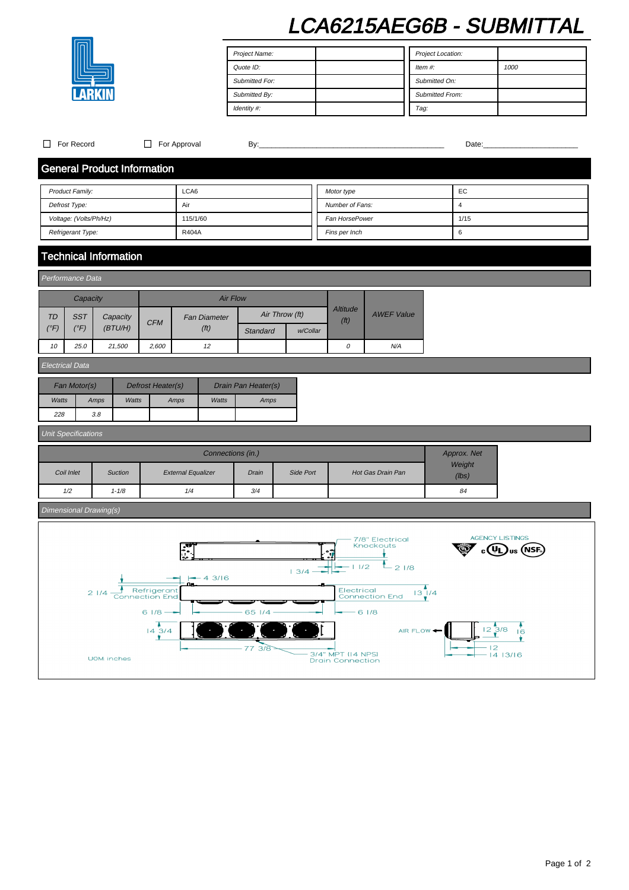# LCA6215AEG6B - SUBMITTAL

| Project Name:         | Project Location:      |      |
|-----------------------|------------------------|------|
| Quote ID:             | Item $#$ :             | 1000 |
| <b>Submitted For:</b> | Submitted On:          |      |
| Submitted By:         | <b>Submitted From:</b> |      |
| Identity #:           | Tag:                   |      |

| $\Box$ For Record                  |                                                          | $\Box$ For Approval   |                           | By:             |                |                                              |                                                | Date:           |                        |
|------------------------------------|----------------------------------------------------------|-----------------------|---------------------------|-----------------|----------------|----------------------------------------------|------------------------------------------------|-----------------|------------------------|
| <b>General Product Information</b> |                                                          |                       |                           |                 |                |                                              |                                                |                 |                        |
| LCA6<br>Product Family:            |                                                          |                       |                           | Motor type      |                | EC                                           |                                                |                 |                        |
| Defrost Type:                      |                                                          | Air                   |                           | Number of Fans: |                | $\overline{\mathbf{4}}$                      |                                                |                 |                        |
| Voltage: (Volts/Ph/Hz)             |                                                          | 115/1/60              |                           | Fan HorsePower  |                | 1/15                                         |                                                |                 |                        |
| Refrigerant Type:                  |                                                          | R404A                 |                           |                 | Fins per Inch  |                                              | 6                                              |                 |                        |
|                                    | <b>Technical Information</b>                             |                       |                           |                 |                |                                              |                                                |                 |                        |
| Performance Data                   |                                                          |                       |                           |                 |                |                                              |                                                |                 |                        |
| Capacity                           |                                                          |                       |                           | <b>Air Flow</b> |                |                                              |                                                |                 |                        |
| <b>SST</b><br><b>TD</b>            |                                                          |                       | <b>Fan Diameter</b>       |                 | Air Throw (ft) | Altitude                                     | <b>AWEF Value</b>                              |                 |                        |
| $(^{\circ}F)$<br>$(^{\circ}F)$     | Capacity<br>(BT U/H)                                     | <b>CFM</b>            | (f <sup>t</sup> )         | Standard        | w/Collar       | (f <sup>t</sup> )                            |                                                |                 |                        |
| 10<br>25.0                         | 21,500                                                   | 2,600                 | 12                        |                 |                | $\cal O$                                     | N/A                                            |                 |                        |
| <b>Electrical Data</b>             |                                                          |                       |                           |                 |                |                                              |                                                |                 |                        |
|                                    |                                                          |                       |                           |                 |                |                                              |                                                |                 |                        |
|                                    | Fan Motor(s)<br>Defrost Heater(s)<br>Drain Pan Heater(s) |                       |                           |                 |                |                                              |                                                |                 |                        |
| Watts<br>228                       | Watts<br>Amps<br>3.8                                     | Amps                  | Watts                     | Amps            |                |                                              |                                                |                 |                        |
|                                    |                                                          |                       |                           |                 |                |                                              |                                                |                 |                        |
| <b>Unit Specifications</b>         |                                                          |                       |                           |                 |                |                                              |                                                |                 |                        |
| Connections (in.)                  |                                                          |                       |                           |                 |                | Approx. Net                                  |                                                |                 |                        |
|                                    |                                                          |                       |                           |                 |                |                                              |                                                |                 |                        |
| Coil Inlet                         | Suction                                                  |                       | <b>External Equalizer</b> | Drain           | Side Port      |                                              | Hot Gas Drain Pan                              | Weight<br>(lbs) |                        |
| 1/2                                | $1 - 1/8$                                                |                       | 1/4                       | 3/4             |                |                                              |                                                | 84              |                        |
| Dimensional Drawing(s)             |                                                          |                       |                           |                 |                |                                              |                                                |                 |                        |
|                                    |                                                          |                       |                           |                 |                |                                              |                                                |                 |                        |
|                                    |                                                          |                       |                           |                 |                |                                              | 7/8" Electrical<br>Knockouts                   |                 | <b>AGENCY LISTINGS</b> |
|                                    |                                                          |                       |                           |                 |                |                                              |                                                |                 |                        |
|                                    |                                                          |                       |                           |                 | 13/4           | 11/2                                         | $E_{21/8}$                                     |                 |                        |
|                                    |                                                          | Refrigerant           | $-43/16$                  |                 |                |                                              |                                                |                 |                        |
|                                    | $21/4 -$                                                 | <b>Connection End</b> |                           |                 |                |                                              | $\sqrt{13/14}$<br>Electrical<br>Connection End |                 |                        |
|                                    |                                                          | $61/8 -$              |                           | 65 1/4          |                | $-61/8$                                      |                                                |                 |                        |
|                                    |                                                          | $14 \overline{3/4}$   |                           |                 |                |                                              | AIR FLOW <                                     | $12^{3/8}$      | 16<br>۰                |
|                                    | UOM: inches                                              |                       |                           | 77 3/8          |                | 3/4" MPT (14 NPS)<br><b>Drain Connection</b> |                                                | 12              | $-1413/16$             |